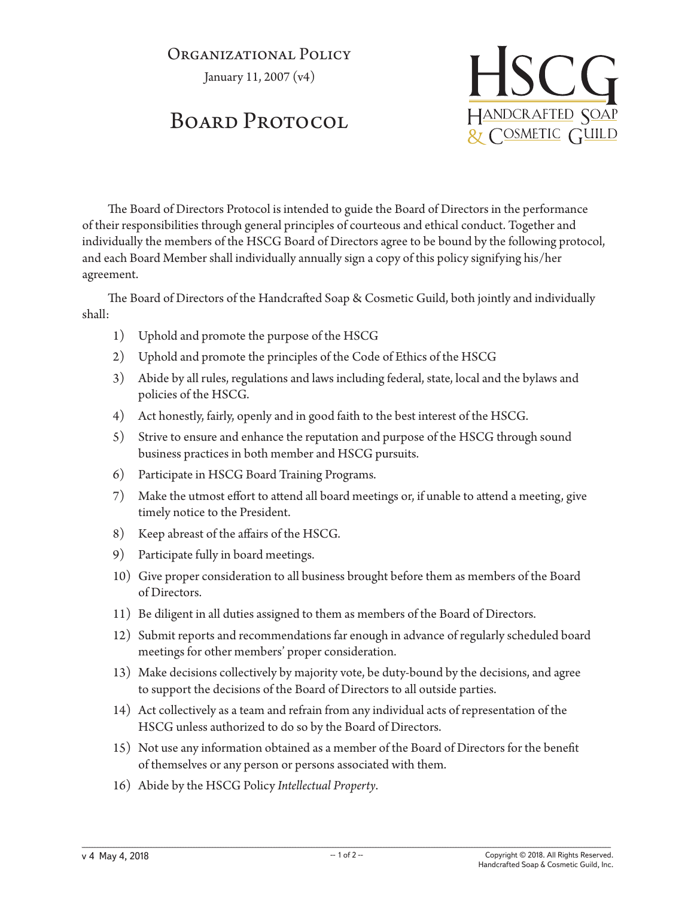## Organizational Policy

January 11, 2007 (v4)

## BOARD PROTOCOL



The Board of Directors Protocol is intended to guide the Board of Directors in the performance of their responsibilities through general principles of courteous and ethical conduct. Together and individually the members of the HSCG Board of Directors agree to be bound by the following protocol, and each Board Member shall individually annually sign a copy of this policy signifying his/her agreement.

The Board of Directors of the Handcrafted Soap & Cosmetic Guild, both jointly and individually shall:

- 1) Uphold and promote the purpose of the HSCG
- 2) Uphold and promote the principles of the Code of Ethics of the HSCG
- 3) Abide by all rules, regulations and laws including federal, state, local and the bylaws and policies of the HSCG.
- 4) Act honestly, fairly, openly and in good faith to the best interest of the HSCG.
- 5) Strive to ensure and enhance the reputation and purpose of the HSCG through sound business practices in both member and HSCG pursuits.
- 6) Participate in HSCG Board Training Programs.
- 7) Make the utmost effort to attend all board meetings or, if unable to attend a meeting, give timely notice to the President.
- 8) Keep abreast of the affairs of the HSCG.
- 9) Participate fully in board meetings.
- 10) Give proper consideration to all business brought before them as members of the Board of Directors.
- 11) Be diligent in all duties assigned to them as members of the Board of Directors.
- 12) Submit reports and recommendations far enough in advance of regularly scheduled board meetings for other members' proper consideration.
- 13) Make decisions collectively by majority vote, be duty-bound by the decisions, and agree to support the decisions of the Board of Directors to all outside parties.
- 14) Act collectively as a team and refrain from any individual acts of representation of the HSCG unless authorized to do so by the Board of Directors.
- 15) Not use any information obtained as a member of the Board of Directors for the benefit of themselves or any person or persons associated with them.
- 16) Abide by the HSCG Policy *Intellectual Property*.